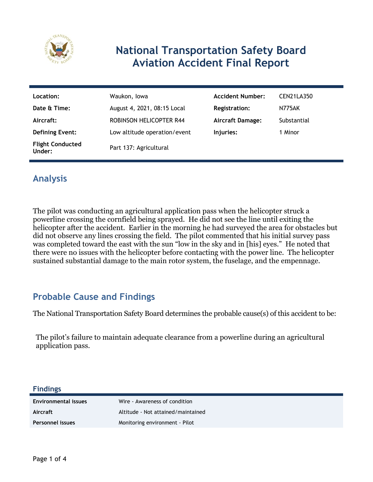

# **National Transportation Safety Board Aviation Accident Final Report**

| Location:                         | Waukon, Iowa                   | <b>Accident Number:</b> | CEN21LA350  |
|-----------------------------------|--------------------------------|-------------------------|-------------|
| Date & Time:                      | August 4, 2021, 08:15 Local    | <b>Registration:</b>    | N775AK      |
| Aircraft:                         | <b>ROBINSON HELICOPTER R44</b> | <b>Aircraft Damage:</b> | Substantial |
| <b>Defining Event:</b>            | Low altitude operation/event   | Injuries:               | 1 Minor     |
| <b>Flight Conducted</b><br>Under: | Part 137: Agricultural         |                         |             |

## **Analysis**

The pilot was conducting an agricultural application pass when the helicopter struck a powerline crossing the cornfield being sprayed. He did not see the line until exiting the helicopter after the accident. Earlier in the morning he had surveyed the area for obstacles but did not observe any lines crossing the field. The pilot commented that his initial survey pass was completed toward the east with the sun "low in the sky and in [his] eyes." He noted that there were no issues with the helicopter before contacting with the power line. The helicopter sustained substantial damage to the main rotor system, the fuselage, and the empennage.

### **Probable Cause and Findings**

The National Transportation Safety Board determines the probable cause(s) of this accident to be:

The pilot's failure to maintain adequate clearance from a powerline during an agricultural application pass.

**Findings**

| <b>Environmental issues</b> | Wire - Awareness of condition      |
|-----------------------------|------------------------------------|
| Aircraft                    | Altitude - Not attained/maintained |
| <b>Personnel issues</b>     | Monitoring environment - Pilot     |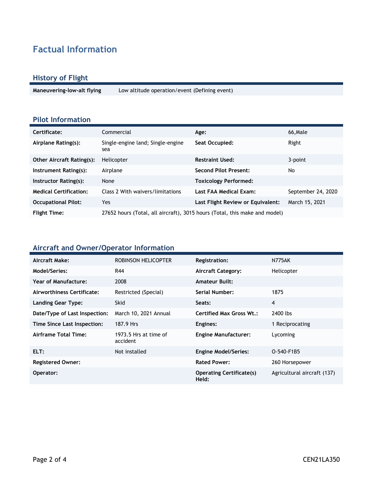## **Factual Information**

#### **History of Flight**

**Maneuvering-low-alt flying** Low altitude operation/event (Defining event)

#### **Pilot Information**

| Certificate:                     | Commercial                                                                 | Age:                              | 66, Male           |
|----------------------------------|----------------------------------------------------------------------------|-----------------------------------|--------------------|
| Airplane Rating(s):              | Single-engine land; Single-engine<br>sea                                   | Seat Occupied:                    | Right              |
| <b>Other Aircraft Rating(s):</b> | Helicopter                                                                 | <b>Restraint Used:</b>            | 3-point            |
| Instrument Rating(s):            | Airplane                                                                   | <b>Second Pilot Present:</b>      | No                 |
| Instructor Rating(s):            | None                                                                       | <b>Toxicology Performed:</b>      |                    |
| <b>Medical Certification:</b>    | Class 2 With waivers/limitations                                           | Last FAA Medical Exam:            | September 24, 2020 |
| <b>Occupational Pilot:</b>       | Yes                                                                        | Last Flight Review or Equivalent: | March 15, 2021     |
| <b>Flight Time:</b>              | 27652 hours (Total, all aircraft), 3015 hours (Total, this make and model) |                                   |                    |

#### **Aircraft and Owner/Operator Information**

| Aircraft Make:                | ROBINSON HELICOPTER               | <b>Registration:</b>                     | N775AK                      |
|-------------------------------|-----------------------------------|------------------------------------------|-----------------------------|
| Model/Series:                 | R44                               | <b>Aircraft Category:</b>                | Helicopter                  |
| Year of Manufacture:          | 2008                              | <b>Amateur Built:</b>                    |                             |
| Airworthiness Certificate:    | Restricted (Special)              | <b>Serial Number:</b>                    | 1875                        |
| <b>Landing Gear Type:</b>     | <b>Skid</b>                       | Seats:                                   | $\overline{4}$              |
| Date/Type of Last Inspection: | March 10, 2021 Annual             | <b>Certified Max Gross Wt.:</b>          | 2400 lbs                    |
| Time Since Last Inspection:   | 187.9 Hrs                         | Engines:                                 | 1 Reciprocating             |
| Airframe Total Time:          | 1973.5 Hrs at time of<br>accident | <b>Engine Manufacturer:</b>              | Lycoming                    |
| ELT:                          | Not installed                     | <b>Engine Model/Series:</b>              | O-540-F1B5                  |
| <b>Registered Owner:</b>      |                                   | <b>Rated Power:</b>                      | 260 Horsepower              |
| Operator:                     |                                   | <b>Operating Certificate(s)</b><br>Held: | Agricultural aircraft (137) |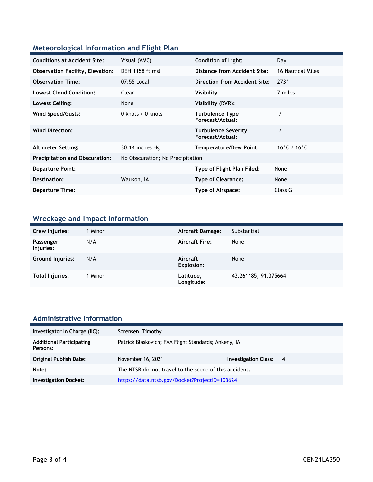### **Meteorological Information and Flight Plan**

| <b>Conditions at Accident Site:</b>     | Visual (VMC)                     | <b>Condition of Light:</b>                     | Day               |
|-----------------------------------------|----------------------------------|------------------------------------------------|-------------------|
| <b>Observation Facility, Elevation:</b> | DEH, 1158 ft msl                 | Distance from Accident Site:                   | 16 Nautical Miles |
| <b>Observation Time:</b>                | 07:55 Local                      | Direction from Accident Site:                  | $273^\circ$       |
| <b>Lowest Cloud Condition:</b>          | Clear                            | Visibility                                     | 7 miles           |
| Lowest Ceiling:                         | None                             | Visibility (RVR):                              |                   |
| Wind Speed/Gusts:                       | 0 knots / 0 knots                | <b>Turbulence Type</b><br>Forecast/Actual:     |                   |
| <b>Wind Direction:</b>                  |                                  | <b>Turbulence Severity</b><br>Forecast/Actual: |                   |
| <b>Altimeter Setting:</b>               | 30.14 inches Hg                  | <b>Temperature/Dew Point:</b>                  | 16°C / 16°C       |
| <b>Precipitation and Obscuration:</b>   | No Obscuration; No Precipitation |                                                |                   |
| <b>Departure Point:</b>                 |                                  | Type of Flight Plan Filed:                     | None              |
| Destination:                            | Waukon, IA                       | <b>Type of Clearance:</b>                      | None              |
| <b>Departure Time:</b>                  |                                  | Type of Airspace:                              | Class G           |

### **Wreckage and Impact Information**

| Crew Injuries:          | 1 Minor | Aircraft Damage:        | Substantial           |
|-------------------------|---------|-------------------------|-----------------------|
| Passenger<br>Injuries:  | N/A     | <b>Aircraft Fire:</b>   | None                  |
| <b>Ground Injuries:</b> | N/A     | Aircraft<br>Explosion:  | None                  |
| Total Injuries:         | 1 Minor | Latitude,<br>Longitude: | 43.261185, -91.375664 |

# **Administrative Information**

| Investigator In Charge (IIC):               | Sorensen, Timothy                                      |                               |  |
|---------------------------------------------|--------------------------------------------------------|-------------------------------|--|
| <b>Additional Participating</b><br>Persons: | Patrick Blaskovich; FAA Flight Standards; Ankeny, IA   |                               |  |
| <b>Original Publish Date:</b>               | November 16, 2021                                      | <b>Investigation Class: 4</b> |  |
| Note:                                       | The NTSB did not travel to the scene of this accident. |                               |  |
| <b>Investigation Docket:</b>                | https://data.ntsb.gov/Docket?ProjectID=103624          |                               |  |